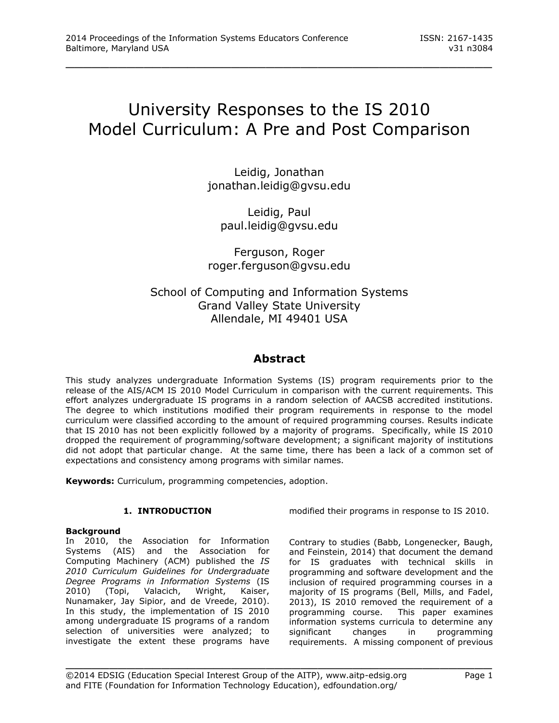# University Responses to the IS 2010 Model Curriculum: A Pre and Post Comparison

\_\_\_\_\_\_\_\_\_\_\_\_\_\_\_\_\_\_\_\_\_\_\_\_\_\_\_\_\_\_\_\_\_\_\_\_\_\_\_\_\_\_\_\_\_\_\_\_\_

Leidig, Jonathan jonathan.leidig@gvsu.edu

Leidig, Paul paul.leidig@gvsu.edu

Ferguson, Roger roger.ferguson@gvsu.edu

# School of Computing and Information Systems Grand Valley State University Allendale, MI 49401 USA

# **Abstract**

This study analyzes undergraduate Information Systems (IS) program requirements prior to the release of the AIS/ACM IS 2010 Model Curriculum in comparison with the current requirements. This effort analyzes undergraduate IS programs in a random selection of AACSB accredited institutions. The degree to which institutions modified their program requirements in response to the model curriculum were classified according to the amount of required programming courses. Results indicate that IS 2010 has not been explicitly followed by a majority of programs. Specifically, while IS 2010 dropped the requirement of programming/software development; a significant majority of institutions did not adopt that particular change. At the same time, there has been a lack of a common set of expectations and consistency among programs with similar names.

**Keywords:** Curriculum, programming competencies, adoption.

# **1. INTRODUCTION**

modified their programs in response to IS 2010.

# **Background**

In 2010, the Association for Information Systems (AIS) and the Association for Computing Machinery (ACM) published the *IS 2010 Curriculum Guidelines for Undergraduate Degree Programs in Information Systems* (IS 2010) (Topi, Valacich, Wright, Kaiser, Nunamaker, Jay Sipior, and de Vreede, 2010). In this study, the implementation of IS 2010 among undergraduate IS programs of a random selection of universities were analyzed; to investigate the extent these programs have

Contrary to studies (Babb, Longenecker, Baugh, and Feinstein, 2014) that document the demand for IS graduates with technical skills in programming and software development and the inclusion of required programming courses in a majority of IS programs (Bell, Mills, and Fadel, 2013), IS 2010 removed the requirement of a programming course. This paper examines information systems curricula to determine any significant changes in programming requirements. A missing component of previous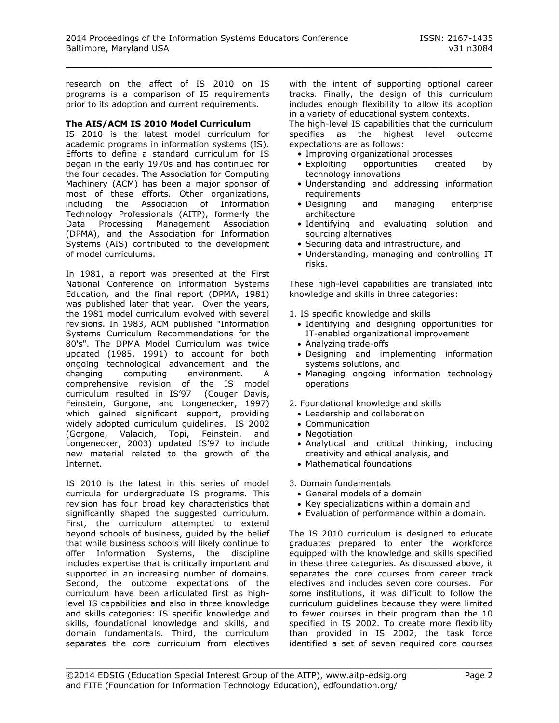research on the affect of IS 2010 on IS programs is a comparison of IS requirements prior to its adoption and current requirements.

## **The AIS/ACM IS 2010 Model Curriculum**

IS 2010 is the latest model curriculum for academic programs in information systems (IS). Efforts to define a standard curriculum for IS began in the early 1970s and has continued for the four decades. The Association for Computing Machinery (ACM) has been a major sponsor of most of these efforts. Other organizations, including the Association of Information Technology Professionals (AITP), formerly the Data Processing Management Association (DPMA), and the Association for Information Systems (AIS) contributed to the development of model curriculums.

In 1981, a report was presented at the First National Conference on Information Systems Education, and the final report (DPMA, 1981) was published later that year. Over the years, the 1981 model curriculum evolved with several revisions. In 1983, ACM published "Information Systems Curriculum Recommendations for the 80's". The DPMA Model Curriculum was twice updated (1985, 1991) to account for both ongoing technological advancement and the changing computing environment. A comprehensive revision of the IS model curriculum resulted in IS'97 (Couger Davis, Feinstein, Gorgone, and Longenecker, 1997) which gained significant support, providing widely adopted curriculum guidelines. IS 2002 (Gorgone, Valacich, Topi, Feinstein, and Longenecker, 2003) updated IS'97 to include new material related to the growth of the Internet.

IS 2010 is the latest in this series of model curricula for undergraduate IS programs. This revision has four broad key characteristics that significantly shaped the suggested curriculum. First, the curriculum attempted to extend beyond schools of business, guided by the belief that while business schools will likely continue to offer Information Systems, the discipline includes expertise that is critically important and supported in an increasing number of domains. Second, the outcome expectations of the curriculum have been articulated first as highlevel IS capabilities and also in three knowledge and skills categories: IS specific knowledge and skills, foundational knowledge and skills, and domain fundamentals. Third, the curriculum separates the core curriculum from electives

with the intent of supporting optional career tracks. Finally, the design of this curriculum includes enough flexibility to allow its adoption in a variety of educational system contexts.

The high-level IS capabilities that the curriculum specifies as the highest level outcome expectations are as follows:

- Improving organizational processes
- Exploiting opportunities created by technology innovations
- Understanding and addressing information requirements
- Designing and managing enterprise architecture
- Identifying and evaluating solution and sourcing alternatives
- Securing data and infrastructure, and
- Understanding, managing and controlling IT risks.

These high-level capabilities are translated into knowledge and skills in three categories:

- 1. IS specific knowledge and skills
	- Identifying and designing opportunities for IT-enabled organizational improvement
	- Analyzing trade-offs
	- Designing and implementing information systems solutions, and
	- Managing ongoing information technology operations
- 2. Foundational knowledge and skills
	- Leadership and collaboration
	- Communication
	- Negotiation
	- Analytical and critical thinking, including creativity and ethical analysis, and
	- Mathematical foundations

3. Domain fundamentals

- General models of a domain
- Key specializations within a domain and
- Evaluation of performance within a domain.

The IS 2010 curriculum is designed to educate graduates prepared to enter the workforce equipped with the knowledge and skills specified in these three categories. As discussed above, it separates the core courses from career track electives and includes seven core courses. For some institutions, it was difficult to follow the curriculum guidelines because they were limited to fewer courses in their program than the 10 specified in IS 2002. To create more flexibility than provided in IS 2002, the task force identified a set of seven required core courses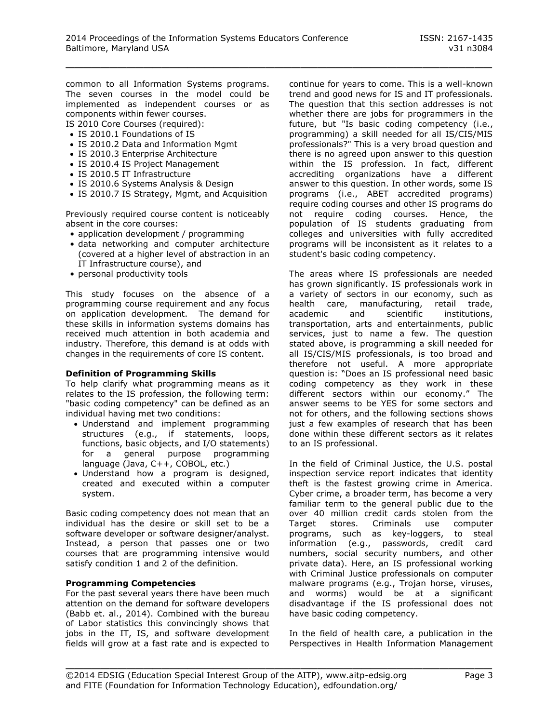common to all Information Systems programs. The seven courses in the model could be implemented as independent courses or as components within fewer courses.

IS 2010 Core Courses (required):

- IS 2010.1 Foundations of IS
- IS 2010.2 Data and Information Mgmt
- IS 2010.3 Enterprise Architecture
- IS 2010.4 IS Project Management
- IS 2010.5 IT Infrastructure
- IS 2010.6 Systems Analysis & Design
- IS 2010.7 IS Strategy, Mgmt, and Acquisition

Previously required course content is noticeably absent in the core courses:

- application development / programming
- data networking and computer architecture (covered at a higher level of abstraction in an IT Infrastructure course), and
- personal productivity tools

This study focuses on the absence of a programming course requirement and any focus on application development. The demand for these skills in information systems domains has received much attention in both academia and industry. Therefore, this demand is at odds with changes in the requirements of core IS content.

# **Definition of Programming Skills**

To help clarify what programming means as it relates to the IS profession, the following term: "basic coding competency" can be defined as an individual having met two conditions:

- Understand and implement programming structures (e.g., if statements, loops, functions, basic objects, and I/O statements) for a general purpose programming language (Java, C++, COBOL, etc.)
- Understand how a program is designed, created and executed within a computer system.

Basic coding competency does not mean that an individual has the desire or skill set to be a software developer or software designer/analyst. Instead, a person that passes one or two courses that are programming intensive would satisfy condition 1 and 2 of the definition.

## **Programming Competencies**

For the past several years there have been much attention on the demand for software developers (Babb et. al., 2014). Combined with the bureau of Labor statistics this convincingly shows that jobs in the IT, IS, and software development fields will grow at a fast rate and is expected to continue for years to come. This is a well-known trend and good news for IS and IT professionals. The question that this section addresses is not whether there are jobs for programmers in the future, but "Is basic coding competency (i.e., programming) a skill needed for all IS/CIS/MIS professionals?" This is a very broad question and there is no agreed upon answer to this question within the IS profession. In fact, different accrediting organizations have a different answer to this question. In other words, some IS programs (i.e., ABET accredited programs) require coding courses and other IS programs do not require coding courses. Hence, the population of IS students graduating from colleges and universities with fully accredited programs will be inconsistent as it relates to a student's basic coding competency.

The areas where IS professionals are needed has grown significantly. IS professionals work in a variety of sectors in our economy, such as health care, manufacturing, retail trade, academic and scientific institutions, transportation, arts and entertainments, public services, just to name a few. The question stated above, is programming a skill needed for all IS/CIS/MIS professionals, is too broad and therefore not useful. A more appropriate question is: "Does an IS professional need basic coding competency as they work in these different sectors within our economy." The answer seems to be YES for some sectors and not for others, and the following sections shows just a few examples of research that has been done within these different sectors as it relates to an IS professional.

In the field of Criminal Justice, the U.S. postal inspection service report indicates that identity theft is the fastest growing crime in America. Cyber crime, a broader term, has become a very familiar term to the general public due to the over 40 million credit cards stolen from the Target stores. Criminals use computer programs, such as key-loggers, to steal information (e.g., passwords, credit card numbers, social security numbers, and other private data). Here, an IS professional working with Criminal Justice professionals on computer malware programs (e.g., Trojan horse, viruses, and worms) would be at a significant disadvantage if the IS professional does not have basic coding competency.

In the field of health care, a publication in the Perspectives in Health Information Management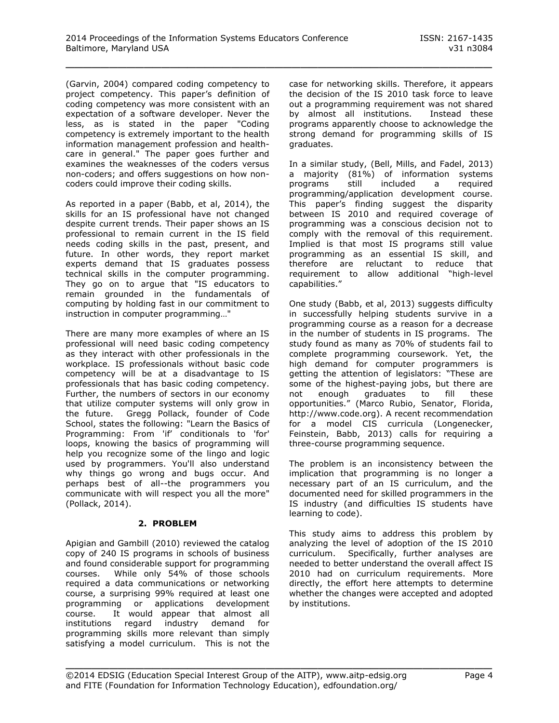(Garvin, 2004) compared coding competency to project competency. This paper's definition of coding competency was more consistent with an expectation of a software developer. Never the less, as is stated in the paper "Coding competency is extremely important to the health information management profession and healthcare in general." The paper goes further and examines the weaknesses of the coders versus non-coders; and offers suggestions on how noncoders could improve their coding skills.

As reported in a paper (Babb, et al, 2014), the skills for an IS professional have not changed despite current trends. Their paper shows an IS professional to remain current in the IS field needs coding skills in the past, present, and future. In other words, they report market experts demand that IS graduates possess technical skills in the computer programming. They go on to argue that "IS educators to remain grounded in the fundamentals of computing by holding fast in our commitment to instruction in computer programming…"

There are many more examples of where an IS professional will need basic coding competency as they interact with other professionals in the workplace. IS professionals without basic code competency will be at a disadvantage to IS professionals that has basic coding competency. Further, the numbers of sectors in our economy that utilize computer systems will only grow in the future. Gregg Pollack, founder of [Code](https://www.codeschool.com/)  [School,](https://www.codeschool.com/) states the following: "Learn the Basics of Programming: From 'if' conditionals to 'for' loops, knowing the basics of programming will help you recognize some of the lingo and logic used by programmers. You'll also understand why things go wrong and bugs occur. And perhaps best of all--the programmers you communicate with will respect you all the more" (Pollack, 2014).

### **2. PROBLEM**

Apigian and Gambill (2010) reviewed the catalog copy of 240 IS programs in schools of business and found considerable support for programming courses. While only 54% of those schools required a data communications or networking course, a surprising 99% required at least one programming or applications development course. It would appear that almost all institutions regard industry demand for programming skills more relevant than simply satisfying a model curriculum. This is not the

case for networking skills. Therefore, it appears the decision of the IS 2010 task force to leave out a programming requirement was not shared by almost all institutions. Instead these programs apparently choose to acknowledge the strong demand for programming skills of IS graduates.

In a similar study, (Bell, Mills, and Fadel, 2013) a majority (81%) of information systems programs still included a required programming/application development course. This paper's finding suggest the disparity between IS 2010 and required coverage of programming was a conscious decision not to comply with the removal of this requirement. Implied is that most IS programs still value programming as an essential IS skill, and therefore are reluctant to reduce that requirement to allow additional "high-level capabilities."

One study (Babb, et al, 2013) suggests difficulty in successfully helping students survive in a programming course as a reason for a decrease in the number of students in IS programs. The study found as many as 70% of students fail to complete programming coursework. Yet, the high demand for computer programmers is getting the attention of legislators: "These are some of the highest-paying jobs, but there are not enough graduates to fill these opportunities." (Marco Rubio, Senator, Florida, http://www.code.org). A recent recommendation for a model CIS curricula (Longenecker, Feinstein, Babb, 2013) calls for requiring a three-course programming sequence.

The problem is an inconsistency between the implication that programming is no longer a necessary part of an IS curriculum, and the documented need for skilled programmers in the IS industry (and difficulties IS students have learning to code).

This study aims to address this problem by analyzing the level of adoption of the IS 2010 curriculum. Specifically, further analyses are needed to better understand the overall affect IS 2010 had on curriculum requirements. More directly, the effort here attempts to determine whether the changes were accepted and adopted by institutions.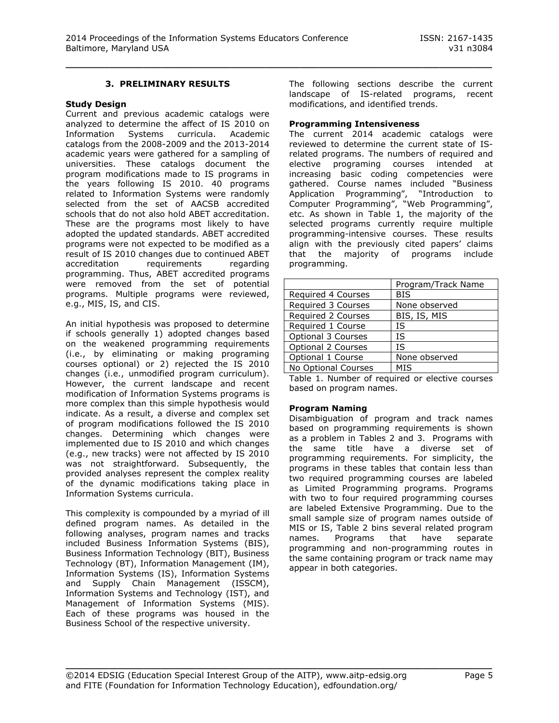# **3. PRELIMINARY RESULTS**

#### **Study Design**

Current and previous academic catalogs were analyzed to determine the affect of IS 2010 on Information Systems curricula. Academic catalogs from the 2008-2009 and the 2013-2014 academic years were gathered for a sampling of universities. These catalogs document the program modifications made to IS programs in the years following IS 2010. 40 programs related to Information Systems were randomly selected from the set of AACSB accredited schools that do not also hold ABET accreditation. These are the programs most likely to have adopted the updated standards. ABET accredited programs were not expected to be modified as a result of IS 2010 changes due to continued ABET accreditation requirements regarding programming. Thus, ABET accredited programs were removed from the set of potential programs. Multiple programs were reviewed, e.g., MIS, IS, and CIS.

An initial hypothesis was proposed to determine if schools generally 1) adopted changes based on the weakened programming requirements (i.e., by eliminating or making programing courses optional) or 2) rejected the IS 2010 changes (i.e., unmodified program curriculum). However, the current landscape and recent modification of Information Systems programs is more complex than this simple hypothesis would indicate. As a result, a diverse and complex set of program modifications followed the IS 2010 changes. Determining which changes were implemented due to IS 2010 and which changes (e.g., new tracks) were not affected by IS 2010 was not straightforward. Subsequently, the provided analyses represent the complex reality of the dynamic modifications taking place in Information Systems curricula.

This complexity is compounded by a myriad of ill defined program names. As detailed in the following analyses, program names and tracks included Business Information Systems (BIS), Business Information Technology (BIT), Business Technology (BT), Information Management (IM), Information Systems (IS), Information Systems and Supply Chain Management (ISSCM), Information Systems and Technology (IST), and Management of Information Systems (MIS). Each of these programs was housed in the Business School of the respective university.

The following sections describe the current landscape of IS-related programs, recent modifications, and identified trends.

#### **Programming Intensiveness**

The current 2014 academic catalogs were reviewed to determine the current state of ISrelated programs. The numbers of required and elective programing courses intended at increasing basic coding competencies were gathered. Course names included "Business Application Programming", "Introduction to Computer Programming", "Web Programming", etc. As shown in Table 1, the majority of the selected programs currently require multiple programming-intensive courses. These results align with the previously cited papers' claims that the majority of programs include programming.

| Program/Track Name |
|--------------------|
| <b>BIS</b>         |
| None observed      |
| BIS, IS, MIS       |
| IS                 |
| ΙS                 |
| ΙS                 |
| None observed      |
| <b>MIS</b>         |
|                    |

Table 1. Number of required or elective courses based on program names.

### **Program Naming**

Disambiguation of program and track names based on programming requirements is shown as a problem in Tables 2 and 3. Programs with the same title have a diverse set of programming requirements. For simplicity, the programs in these tables that contain less than two required programming courses are labeled as Limited Programming programs. Programs with two to four required programming courses are labeled Extensive Programming. Due to the small sample size of program names outside of MIS or IS, Table 2 bins several related program names. Programs that have separate programming and non-programming routes in the same containing program or track name may appear in both categories.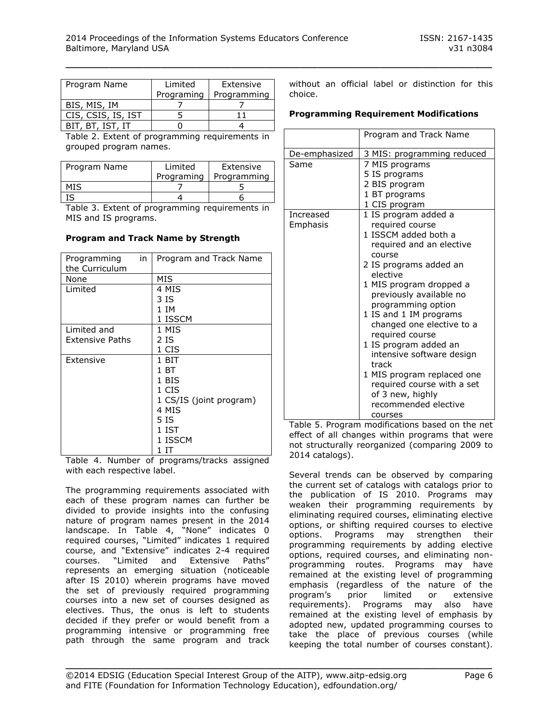| Program Name       | Limited    | Extensive   |
|--------------------|------------|-------------|
|                    | Programing | Programming |
| BIS, MIS, IM       |            |             |
| CIS, CSIS, IS, IST |            |             |
| BIT, BT, IST, IT   |            |             |

Table 2. Extent of programming requirements in grouped program names.

| Program Name | Limited    | Extensive   |
|--------------|------------|-------------|
|              | Programing | Programming |
|              |            |             |
|              |            |             |

Table 3. Extent of programming requirements in MIS and IS programs.

# **Program and Track Name by Strength**

| Programming     | in | Program and Track Name  |
|-----------------|----|-------------------------|
|                 |    |                         |
| the Curriculum  |    |                         |
| None            |    | MIS                     |
| Limited         |    | 4 MIS                   |
|                 |    | 3 IS                    |
|                 |    | 1 IM                    |
|                 |    | 1 ISSCM                 |
| Limited and     |    | 1 MIS                   |
| Extensive Paths |    | 2 IS                    |
|                 |    | 1 CIS                   |
| Extensive       |    | 1 BIT                   |
|                 |    | 1 B T                   |
|                 |    | 1 BIS                   |
|                 |    | 1 CIS                   |
|                 |    | 1 CS/IS (joint program) |
|                 |    | 4 MIS                   |
|                 |    | 5 IS                    |
|                 |    | 1 IST                   |
|                 |    | 1 ISSCM                 |
|                 |    | 1 IT                    |

Table 4. Number of programs/tracks assigned with each respective label.

The programming requirements associated with each of these program names can further be divided to provide insights into the confusing nature of program names present in the 2014 landscape. In Table 4, "None" indicates 0 required courses, "Limited" indicates 1 required course, and "Extensive" indicates 2-4 required courses. "Limited and Extensive Paths" represents an emerging situation (noticeable after IS 2010) wherein programs have moved the set of previously required programming courses into a new set of courses designed as electives. Thus, the onus is left to students decided if they prefer or would benefit from a programming intensive or programming free path through the same program and track

without an official label or distinction for this choice.

#### **Programming Requirement Modifications**

| Program and Track Name                                                                                                                                                                                                                                                                                                                                                                                                                                                              |
|-------------------------------------------------------------------------------------------------------------------------------------------------------------------------------------------------------------------------------------------------------------------------------------------------------------------------------------------------------------------------------------------------------------------------------------------------------------------------------------|
| 3 MIS: programming reduced                                                                                                                                                                                                                                                                                                                                                                                                                                                          |
| 7 MIS programs<br>5 IS programs<br>2 BIS program<br>1 BT programs<br>1 CIS program                                                                                                                                                                                                                                                                                                                                                                                                  |
| 1 IS program added a<br>required course<br>1 ISSCM added both a<br>required and an elective<br>course<br>2 IS programs added an<br>elective<br>1 MIS program dropped a<br>previously available no<br>programming option<br>1 IS and 1 IM programs<br>changed one elective to a<br>required course<br>1 IS program added an<br>intensive software design<br>track<br>1 MIS program replaced one<br>required course with a set<br>of 3 new, highly<br>recommended elective<br>courses |
|                                                                                                                                                                                                                                                                                                                                                                                                                                                                                     |

Table 5. Program modifications based on the net effect of all changes within programs that were not structurally reorganized (comparing 2009 to 2014 catalogs).

Several trends can be observed by comparing the current set of catalogs with catalogs prior to the publication of IS 2010. Programs may weaken their programming requirements by eliminating required courses, eliminating elective options, or shifting required courses to elective options. Programs may strengthen their programming requirements by adding elective options, required courses, and eliminating nonprogramming routes. Programs may have remained at the existing level of programming emphasis (regardless of the nature of the program's prior limited or extensive requirements). Programs may also have remained at the existing level of emphasis by adopted new, updated programming courses to take the place of previous courses (while keeping the total number of courses constant).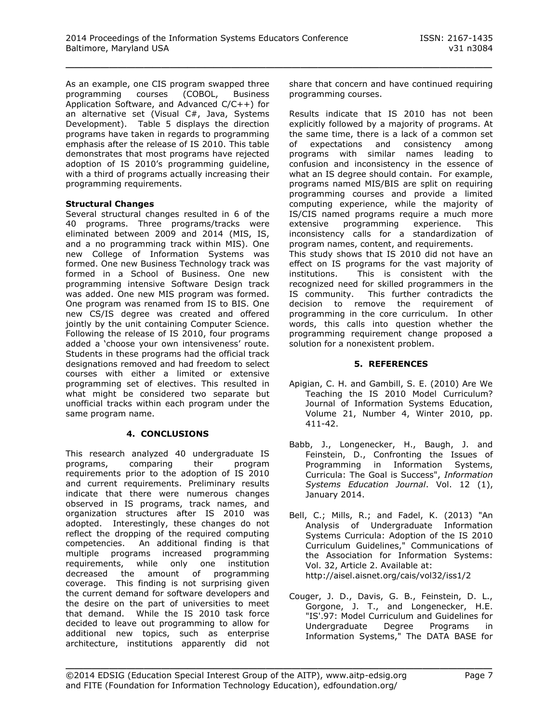As an example, one CIS program swapped three programming courses (COBOL, Business Application Software, and Advanced C/C++) for an alternative set (Visual C#, Java, Systems Development). Table 5 displays the direction programs have taken in regards to programming emphasis after the release of IS 2010. This table demonstrates that most programs have rejected adoption of IS 2010's programming guideline, with a third of programs actually increasing their programming requirements.

# **Structural Changes**

Several structural changes resulted in 6 of the 40 programs. Three programs/tracks were eliminated between 2009 and 2014 (MIS, IS, and a no programming track within MIS). One new College of Information Systems was formed. One new Business Technology track was formed in a School of Business. One new programming intensive Software Design track was added. One new MIS program was formed. One program was renamed from IS to BIS. One new CS/IS degree was created and offered jointly by the unit containing Computer Science. Following the release of IS 2010, four programs added a 'choose your own intensiveness' route. Students in these programs had the official track designations removed and had freedom to select courses with either a limited or extensive programming set of electives. This resulted in what might be considered two separate but unofficial tracks within each program under the same program name.

### **4. CONCLUSIONS**

This research analyzed 40 undergraduate IS programs, comparing their program requirements prior to the adoption of IS 2010 and current requirements. Preliminary results indicate that there were numerous changes observed in IS programs, track names, and organization structures after IS 2010 was adopted. Interestingly, these changes do not reflect the dropping of the required computing competencies. An additional finding is that multiple programs increased programming requirements, while only one institution decreased the amount of programming coverage. This finding is not surprising given the current demand for software developers and the desire on the part of universities to meet that demand. While the IS 2010 task force decided to leave out programming to allow for additional new topics, such as enterprise architecture, institutions apparently did not

share that concern and have continued requiring programming courses.

Results indicate that IS 2010 has not been explicitly followed by a majority of programs. At the same time, there is a lack of a common set of expectations and consistency among programs with similar names leading to confusion and inconsistency in the essence of what an IS degree should contain. For example, programs named MIS/BIS are split on requiring programming courses and provide a limited computing experience, while the majority of IS/CIS named programs require a much more extensive programming experience. This inconsistency calls for a standardization of program names, content, and requirements. This study shows that IS 2010 did not have an effect on IS programs for the vast majority of institutions. This is consistent with the recognized need for skilled programmers in the IS community. This further contradicts the decision to remove the requirement of programming in the core curriculum. In other words, this calls into question whether the programming requirement change proposed a solution for a nonexistent problem.

## **5. REFERENCES**

- Apigian, C. H. and Gambill, S. E. (2010) Are We Teaching the IS 2010 Model Curriculum? Journal of Information Systems Education, Volume 21, Number 4, Winter 2010, pp. 411-42.
- Babb, J., Longenecker, H., Baugh, J. and Feinstein, D., Confronting the Issues of Programming in Information Systems, Curricula: The Goal is Success", *Information Systems Education Journal*. Vol. 12 (1), January 2014.
- Bell, C.; Mills, R.; and Fadel, K. (2013) "An Analysis of Undergraduate Information Systems Curricula: Adoption of the IS 2010 Curriculum Guidelines," Communications of the Association for Information Systems: Vol. 32, Article 2. Available at: http://aisel.aisnet.org/cais/vol32/iss1/2
- Couger, J. D., Davis, G. B., Feinstein, D. L., Gorgone, J. T., and Longenecker, H.E. "IS'.97: Model Curriculum and Guidelines for Undergraduate Degree Programs in Information Systems," The DATA BASE for